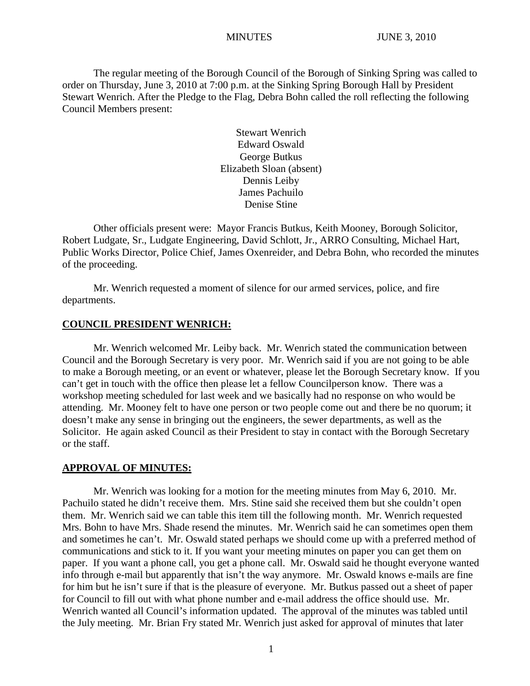The regular meeting of the Borough Council of the Borough of Sinking Spring was called to order on Thursday, June 3, 2010 at 7:00 p.m. at the Sinking Spring Borough Hall by President Stewart Wenrich. After the Pledge to the Flag, Debra Bohn called the roll reflecting the following Council Members present:

> Stewart Wenrich Edward Oswald George Butkus Elizabeth Sloan (absent) Dennis Leiby James Pachuilo Denise Stine

Other officials present were: Mayor Francis Butkus, Keith Mooney, Borough Solicitor, Robert Ludgate, Sr., Ludgate Engineering, David Schlott, Jr., ARRO Consulting, Michael Hart, Public Works Director, Police Chief, James Oxenreider, and Debra Bohn, who recorded the minutes of the proceeding.

Mr. Wenrich requested a moment of silence for our armed services, police, and fire departments.

#### **COUNCIL PRESIDENT WENRICH:**

Mr. Wenrich welcomed Mr. Leiby back. Mr. Wenrich stated the communication between Council and the Borough Secretary is very poor. Mr. Wenrich said if you are not going to be able to make a Borough meeting, or an event or whatever, please let the Borough Secretary know. If you can't get in touch with the office then please let a fellow Councilperson know. There was a workshop meeting scheduled for last week and we basically had no response on who would be attending. Mr. Mooney felt to have one person or two people come out and there be no quorum; it doesn't make any sense in bringing out the engineers, the sewer departments, as well as the Solicitor. He again asked Council as their President to stay in contact with the Borough Secretary or the staff.

#### **APPROVAL OF MINUTES:**

Mr. Wenrich was looking for a motion for the meeting minutes from May 6, 2010. Mr. Pachuilo stated he didn't receive them. Mrs. Stine said she received them but she couldn't open them. Mr. Wenrich said we can table this item till the following month. Mr. Wenrich requested Mrs. Bohn to have Mrs. Shade resend the minutes. Mr. Wenrich said he can sometimes open them and sometimes he can't. Mr. Oswald stated perhaps we should come up with a preferred method of communications and stick to it. If you want your meeting minutes on paper you can get them on paper. If you want a phone call, you get a phone call. Mr. Oswald said he thought everyone wanted info through e-mail but apparently that isn't the way anymore. Mr. Oswald knows e-mails are fine for him but he isn't sure if that is the pleasure of everyone. Mr. Butkus passed out a sheet of paper for Council to fill out with what phone number and e-mail address the office should use. Mr. Wenrich wanted all Council's information updated. The approval of the minutes was tabled until the July meeting. Mr. Brian Fry stated Mr. Wenrich just asked for approval of minutes that later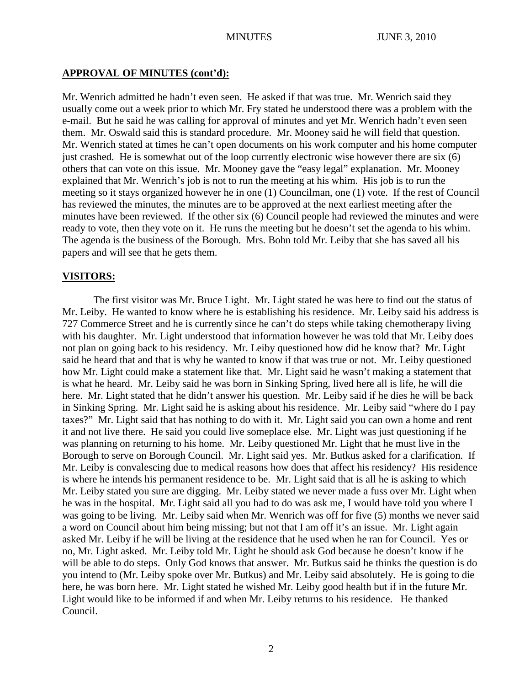#### **APPROVAL OF MINUTES (cont'd):**

Mr. Wenrich admitted he hadn't even seen. He asked if that was true. Mr. Wenrich said they usually come out a week prior to which Mr. Fry stated he understood there was a problem with the e-mail. But he said he was calling for approval of minutes and yet Mr. Wenrich hadn't even seen them. Mr. Oswald said this is standard procedure. Mr. Mooney said he will field that question. Mr. Wenrich stated at times he can't open documents on his work computer and his home computer just crashed. He is somewhat out of the loop currently electronic wise however there are six (6) others that can vote on this issue. Mr. Mooney gave the "easy legal" explanation. Mr. Mooney explained that Mr. Wenrich's job is not to run the meeting at his whim. His job is to run the meeting so it stays organized however he in one (1) Councilman, one (1) vote. If the rest of Council has reviewed the minutes, the minutes are to be approved at the next earliest meeting after the minutes have been reviewed. If the other six (6) Council people had reviewed the minutes and were ready to vote, then they vote on it. He runs the meeting but he doesn't set the agenda to his whim. The agenda is the business of the Borough. Mrs. Bohn told Mr. Leiby that she has saved all his papers and will see that he gets them.

#### **VISITORS:**

The first visitor was Mr. Bruce Light. Mr. Light stated he was here to find out the status of Mr. Leiby. He wanted to know where he is establishing his residence. Mr. Leiby said his address is 727 Commerce Street and he is currently since he can't do steps while taking chemotherapy living with his daughter. Mr. Light understood that information however he was told that Mr. Leiby does not plan on going back to his residency. Mr. Leiby questioned how did he know that? Mr. Light said he heard that and that is why he wanted to know if that was true or not. Mr. Leiby questioned how Mr. Light could make a statement like that. Mr. Light said he wasn't making a statement that is what he heard. Mr. Leiby said he was born in Sinking Spring, lived here all is life, he will die here. Mr. Light stated that he didn't answer his question. Mr. Leiby said if he dies he will be back in Sinking Spring. Mr. Light said he is asking about his residence. Mr. Leiby said "where do I pay taxes?" Mr. Light said that has nothing to do with it. Mr. Light said you can own a home and rent it and not live there. He said you could live someplace else. Mr. Light was just questioning if he was planning on returning to his home. Mr. Leiby questioned Mr. Light that he must live in the Borough to serve on Borough Council. Mr. Light said yes. Mr. Butkus asked for a clarification. If Mr. Leiby is convalescing due to medical reasons how does that affect his residency? His residence is where he intends his permanent residence to be. Mr. Light said that is all he is asking to which Mr. Leiby stated you sure are digging. Mr. Leiby stated we never made a fuss over Mr. Light when he was in the hospital. Mr. Light said all you had to do was ask me, I would have told you where I was going to be living. Mr. Leiby said when Mr. Wenrich was off for five (5) months we never said a word on Council about him being missing; but not that I am off it's an issue. Mr. Light again asked Mr. Leiby if he will be living at the residence that he used when he ran for Council. Yes or no, Mr. Light asked. Mr. Leiby told Mr. Light he should ask God because he doesn't know if he will be able to do steps. Only God knows that answer. Mr. Butkus said he thinks the question is do you intend to (Mr. Leiby spoke over Mr. Butkus) and Mr. Leiby said absolutely. He is going to die here, he was born here. Mr. Light stated he wished Mr. Leiby good health but if in the future Mr. Light would like to be informed if and when Mr. Leiby returns to his residence. He thanked Council.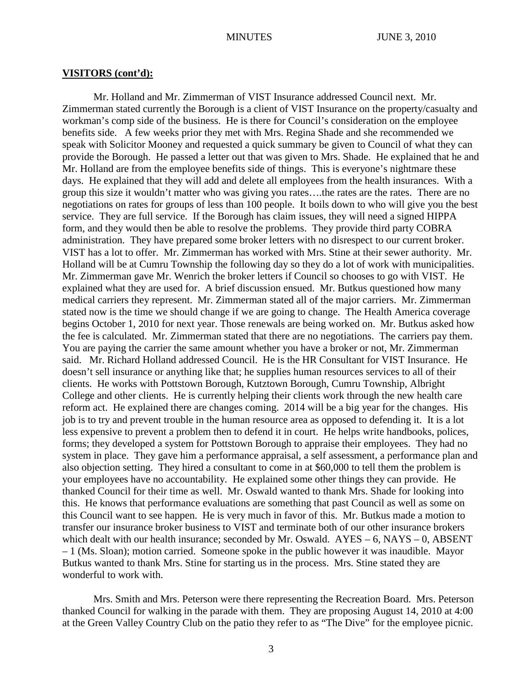#### **VISITORS (cont'd):**

Mr. Holland and Mr. Zimmerman of VIST Insurance addressed Council next. Mr. Zimmerman stated currently the Borough is a client of VIST Insurance on the property/casualty and workman's comp side of the business. He is there for Council's consideration on the employee benefits side. A few weeks prior they met with Mrs. Regina Shade and she recommended we speak with Solicitor Mooney and requested a quick summary be given to Council of what they can provide the Borough. He passed a letter out that was given to Mrs. Shade. He explained that he and Mr. Holland are from the employee benefits side of things. This is everyone's nightmare these days. He explained that they will add and delete all employees from the health insurances. With a group this size it wouldn't matter who was giving you rates….the rates are the rates. There are no negotiations on rates for groups of less than 100 people. It boils down to who will give you the best service. They are full service. If the Borough has claim issues, they will need a signed HIPPA form, and they would then be able to resolve the problems. They provide third party COBRA administration. They have prepared some broker letters with no disrespect to our current broker. VIST has a lot to offer. Mr. Zimmerman has worked with Mrs. Stine at their sewer authority. Mr. Holland will be at Cumru Township the following day so they do a lot of work with municipalities. Mr. Zimmerman gave Mr. Wenrich the broker letters if Council so chooses to go with VIST. He explained what they are used for. A brief discussion ensued. Mr. Butkus questioned how many medical carriers they represent. Mr. Zimmerman stated all of the major carriers. Mr. Zimmerman stated now is the time we should change if we are going to change. The Health America coverage begins October 1, 2010 for next year. Those renewals are being worked on. Mr. Butkus asked how the fee is calculated. Mr. Zimmerman stated that there are no negotiations. The carriers pay them. You are paying the carrier the same amount whether you have a broker or not, Mr. Zimmerman said. Mr. Richard Holland addressed Council. He is the HR Consultant for VIST Insurance. He doesn't sell insurance or anything like that; he supplies human resources services to all of their clients. He works with Pottstown Borough, Kutztown Borough, Cumru Township, Albright College and other clients. He is currently helping their clients work through the new health care reform act. He explained there are changes coming. 2014 will be a big year for the changes. His job is to try and prevent trouble in the human resource area as opposed to defending it. It is a lot less expensive to prevent a problem then to defend it in court. He helps write handbooks, polices, forms; they developed a system for Pottstown Borough to appraise their employees. They had no system in place. They gave him a performance appraisal, a self assessment, a performance plan and also objection setting. They hired a consultant to come in at \$60,000 to tell them the problem is your employees have no accountability. He explained some other things they can provide. He thanked Council for their time as well. Mr. Oswald wanted to thank Mrs. Shade for looking into this. He knows that performance evaluations are something that past Council as well as some on this Council want to see happen. He is very much in favor of this. Mr. Butkus made a motion to transfer our insurance broker business to VIST and terminate both of our other insurance brokers which dealt with our health insurance; seconded by Mr. Oswald.  $AYES - 6$ ,  $NAYS - 0$ ,  $ABSENT$ – 1 (Ms. Sloan); motion carried. Someone spoke in the public however it was inaudible. Mayor Butkus wanted to thank Mrs. Stine for starting us in the process. Mrs. Stine stated they are wonderful to work with.

Mrs. Smith and Mrs. Peterson were there representing the Recreation Board. Mrs. Peterson thanked Council for walking in the parade with them. They are proposing August 14, 2010 at 4:00 at the Green Valley Country Club on the patio they refer to as "The Dive" for the employee picnic.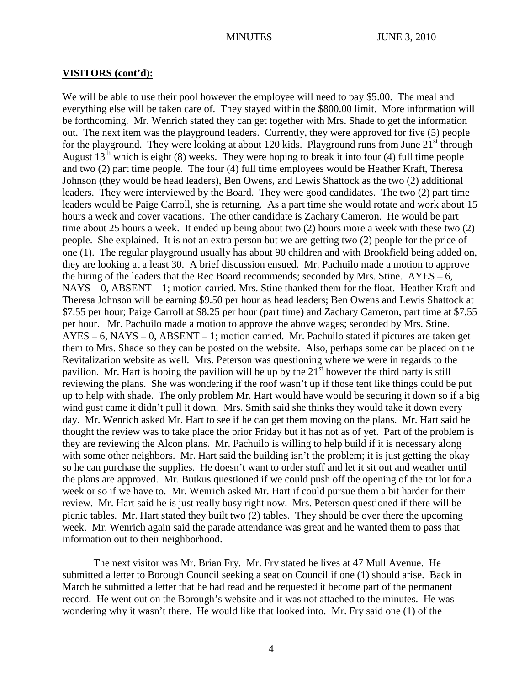#### **VISITORS (cont'd):**

We will be able to use their pool however the employee will need to pay \$5.00. The meal and everything else will be taken care of. They stayed within the \$800.00 limit. More information will be forthcoming. Mr. Wenrich stated they can get together with Mrs. Shade to get the information out. The next item was the playground leaders. Currently, they were approved for five (5) people for the playground. They were looking at about 120 kids. Playground runs from June  $21<sup>st</sup>$  through August  $13<sup>th</sup>$  which is eight (8) weeks. They were hoping to break it into four (4) full time people and two (2) part time people. The four (4) full time employees would be Heather Kraft, Theresa Johnson (they would be head leaders), Ben Owens, and Lewis Shattock as the two (2) additional leaders. They were interviewed by the Board. They were good candidates. The two (2) part time leaders would be Paige Carroll, she is returning. As a part time she would rotate and work about 15 hours a week and cover vacations. The other candidate is Zachary Cameron. He would be part time about 25 hours a week. It ended up being about two (2) hours more a week with these two (2) people. She explained. It is not an extra person but we are getting two (2) people for the price of one (1). The regular playground usually has about 90 children and with Brookfield being added on, they are looking at a least 30. A brief discussion ensued. Mr. Pachuilo made a motion to approve the hiring of the leaders that the Rec Board recommends; seconded by Mrs. Stine.  $AYES - 6$ , NAYS – 0, ABSENT – 1; motion carried. Mrs. Stine thanked them for the float. Heather Kraft and Theresa Johnson will be earning \$9.50 per hour as head leaders; Ben Owens and Lewis Shattock at \$7.55 per hour; Paige Carroll at \$8.25 per hour (part time) and Zachary Cameron, part time at \$7.55 per hour. Mr. Pachuilo made a motion to approve the above wages; seconded by Mrs. Stine. AYES – 6, NAYS – 0, ABSENT – 1; motion carried. Mr. Pachuilo stated if pictures are taken get them to Mrs. Shade so they can be posted on the website. Also, perhaps some can be placed on the Revitalization website as well. Mrs. Peterson was questioning where we were in regards to the pavilion. Mr. Hart is hoping the pavilion will be up by the  $21<sup>st</sup>$  however the third party is still reviewing the plans. She was wondering if the roof wasn't up if those tent like things could be put up to help with shade. The only problem Mr. Hart would have would be securing it down so if a big wind gust came it didn't pull it down. Mrs. Smith said she thinks they would take it down every day. Mr. Wenrich asked Mr. Hart to see if he can get them moving on the plans. Mr. Hart said he thought the review was to take place the prior Friday but it has not as of yet. Part of the problem is they are reviewing the Alcon plans. Mr. Pachuilo is willing to help build if it is necessary along with some other neighbors. Mr. Hart said the building isn't the problem; it is just getting the okay so he can purchase the supplies. He doesn't want to order stuff and let it sit out and weather until the plans are approved. Mr. Butkus questioned if we could push off the opening of the tot lot for a week or so if we have to. Mr. Wenrich asked Mr. Hart if could pursue them a bit harder for their review. Mr. Hart said he is just really busy right now. Mrs. Peterson questioned if there will be picnic tables. Mr. Hart stated they built two (2) tables. They should be over there the upcoming week. Mr. Wenrich again said the parade attendance was great and he wanted them to pass that information out to their neighborhood.

The next visitor was Mr. Brian Fry. Mr. Fry stated he lives at 47 Mull Avenue. He submitted a letter to Borough Council seeking a seat on Council if one (1) should arise. Back in March he submitted a letter that he had read and he requested it become part of the permanent record. He went out on the Borough's website and it was not attached to the minutes. He was wondering why it wasn't there. He would like that looked into. Mr. Fry said one (1) of the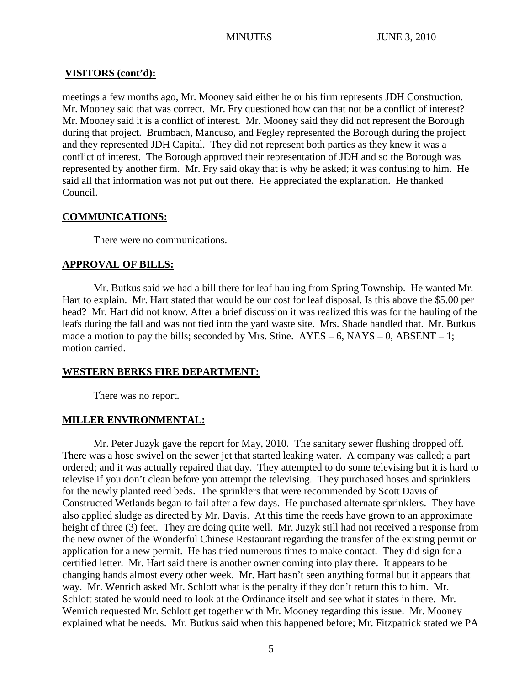# **VISITORS (cont'd):**

meetings a few months ago, Mr. Mooney said either he or his firm represents JDH Construction. Mr. Mooney said that was correct. Mr. Fry questioned how can that not be a conflict of interest? Mr. Mooney said it is a conflict of interest. Mr. Mooney said they did not represent the Borough during that project. Brumbach, Mancuso, and Fegley represented the Borough during the project and they represented JDH Capital. They did not represent both parties as they knew it was a conflict of interest. The Borough approved their representation of JDH and so the Borough was represented by another firm. Mr. Fry said okay that is why he asked; it was confusing to him. He said all that information was not put out there. He appreciated the explanation. He thanked Council.

# **COMMUNICATIONS:**

There were no communications.

# **APPROVAL OF BILLS:**

Mr. Butkus said we had a bill there for leaf hauling from Spring Township. He wanted Mr. Hart to explain. Mr. Hart stated that would be our cost for leaf disposal. Is this above the \$5.00 per head? Mr. Hart did not know. After a brief discussion it was realized this was for the hauling of the leafs during the fall and was not tied into the yard waste site. Mrs. Shade handled that. Mr. Butkus made a motion to pay the bills; seconded by Mrs. Stine.  $AYES - 6$ ,  $NAYS - 0$ ,  $ABSENT - 1$ ; motion carried.

# **WESTERN BERKS FIRE DEPARTMENT:**

There was no report.

# **MILLER ENVIRONMENTAL:**

Mr. Peter Juzyk gave the report for May, 2010. The sanitary sewer flushing dropped off. There was a hose swivel on the sewer jet that started leaking water. A company was called; a part ordered; and it was actually repaired that day. They attempted to do some televising but it is hard to televise if you don't clean before you attempt the televising. They purchased hoses and sprinklers for the newly planted reed beds. The sprinklers that were recommended by Scott Davis of Constructed Wetlands began to fail after a few days. He purchased alternate sprinklers. They have also applied sludge as directed by Mr. Davis. At this time the reeds have grown to an approximate height of three (3) feet. They are doing quite well. Mr. Juzyk still had not received a response from the new owner of the Wonderful Chinese Restaurant regarding the transfer of the existing permit or application for a new permit. He has tried numerous times to make contact. They did sign for a certified letter. Mr. Hart said there is another owner coming into play there. It appears to be changing hands almost every other week. Mr. Hart hasn't seen anything formal but it appears that way. Mr. Wenrich asked Mr. Schlott what is the penalty if they don't return this to him. Mr. Schlott stated he would need to look at the Ordinance itself and see what it states in there. Mr. Wenrich requested Mr. Schlott get together with Mr. Mooney regarding this issue. Mr. Mooney explained what he needs. Mr. Butkus said when this happened before; Mr. Fitzpatrick stated we PA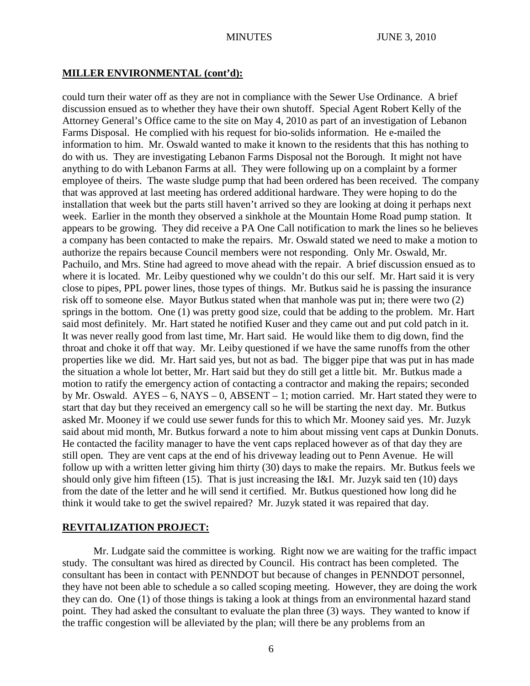#### **MILLER ENVIRONMENTAL (cont'd):**

could turn their water off as they are not in compliance with the Sewer Use Ordinance. A brief discussion ensued as to whether they have their own shutoff. Special Agent Robert Kelly of the Attorney General's Office came to the site on May 4, 2010 as part of an investigation of Lebanon Farms Disposal. He complied with his request for bio-solids information. He e-mailed the information to him. Mr. Oswald wanted to make it known to the residents that this has nothing to do with us. They are investigating Lebanon Farms Disposal not the Borough. It might not have anything to do with Lebanon Farms at all. They were following up on a complaint by a former employee of theirs. The waste sludge pump that had been ordered has been received. The company that was approved at last meeting has ordered additional hardware. They were hoping to do the installation that week but the parts still haven't arrived so they are looking at doing it perhaps next week. Earlier in the month they observed a sinkhole at the Mountain Home Road pump station. It appears to be growing. They did receive a PA One Call notification to mark the lines so he believes a company has been contacted to make the repairs. Mr. Oswald stated we need to make a motion to authorize the repairs because Council members were not responding. Only Mr. Oswald, Mr. Pachuilo, and Mrs. Stine had agreed to move ahead with the repair. A brief discussion ensued as to where it is located. Mr. Leiby questioned why we couldn't do this our self. Mr. Hart said it is very close to pipes, PPL power lines, those types of things. Mr. Butkus said he is passing the insurance risk off to someone else. Mayor Butkus stated when that manhole was put in; there were two (2) springs in the bottom. One (1) was pretty good size, could that be adding to the problem. Mr. Hart said most definitely. Mr. Hart stated he notified Kuser and they came out and put cold patch in it. It was never really good from last time, Mr. Hart said. He would like them to dig down, find the throat and choke it off that way. Mr. Leiby questioned if we have the same runoffs from the other properties like we did. Mr. Hart said yes, but not as bad. The bigger pipe that was put in has made the situation a whole lot better, Mr. Hart said but they do still get a little bit. Mr. Butkus made a motion to ratify the emergency action of contacting a contractor and making the repairs; seconded by Mr. Oswald. AYES – 6, NAYS – 0, ABSENT – 1; motion carried. Mr. Hart stated they were to start that day but they received an emergency call so he will be starting the next day. Mr. Butkus asked Mr. Mooney if we could use sewer funds for this to which Mr. Mooney said yes. Mr. Juzyk said about mid month, Mr. Butkus forward a note to him about missing vent caps at Dunkin Donuts. He contacted the facility manager to have the vent caps replaced however as of that day they are still open. They are vent caps at the end of his driveway leading out to Penn Avenue. He will follow up with a written letter giving him thirty (30) days to make the repairs. Mr. Butkus feels we should only give him fifteen (15). That is just increasing the I&I. Mr. Juzyk said ten (10) days from the date of the letter and he will send it certified. Mr. Butkus questioned how long did he think it would take to get the swivel repaired? Mr. Juzyk stated it was repaired that day.

## **REVITALIZATION PROJECT:**

Mr. Ludgate said the committee is working. Right now we are waiting for the traffic impact study. The consultant was hired as directed by Council. His contract has been completed. The consultant has been in contact with PENNDOT but because of changes in PENNDOT personnel, they have not been able to schedule a so called scoping meeting. However, they are doing the work they can do. One (1) of those things is taking a look at things from an environmental hazard stand point. They had asked the consultant to evaluate the plan three (3) ways. They wanted to know if the traffic congestion will be alleviated by the plan; will there be any problems from an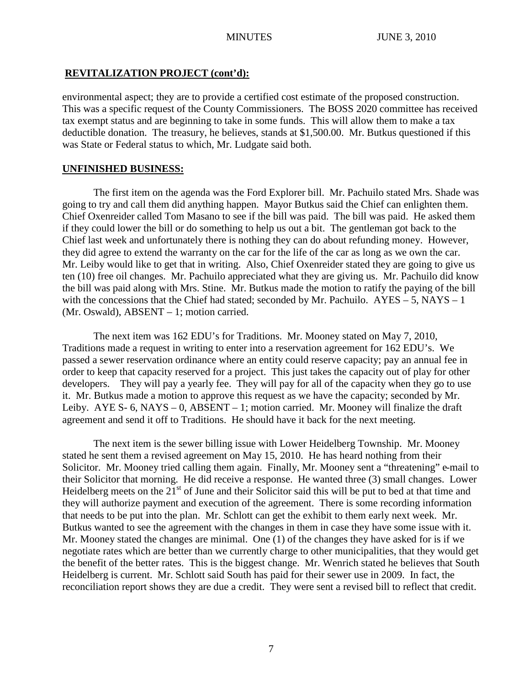# **REVITALIZATION PROJECT (cont'd):**

environmental aspect; they are to provide a certified cost estimate of the proposed construction. This was a specific request of the County Commissioners. The BOSS 2020 committee has received tax exempt status and are beginning to take in some funds. This will allow them to make a tax deductible donation. The treasury, he believes, stands at \$1,500.00. Mr. Butkus questioned if this was State or Federal status to which, Mr. Ludgate said both.

# **UNFINISHED BUSINESS:**

The first item on the agenda was the Ford Explorer bill. Mr. Pachuilo stated Mrs. Shade was going to try and call them did anything happen. Mayor Butkus said the Chief can enlighten them. Chief Oxenreider called Tom Masano to see if the bill was paid. The bill was paid. He asked them if they could lower the bill or do something to help us out a bit. The gentleman got back to the Chief last week and unfortunately there is nothing they can do about refunding money. However, they did agree to extend the warranty on the car for the life of the car as long as we own the car. Mr. Leiby would like to get that in writing. Also, Chief Oxenreider stated they are going to give us ten (10) free oil changes. Mr. Pachuilo appreciated what they are giving us. Mr. Pachuilo did know the bill was paid along with Mrs. Stine. Mr. Butkus made the motion to ratify the paying of the bill with the concessions that the Chief had stated; seconded by Mr. Pachuilo.  $AYES - 5$ ,  $NAYS - 1$ (Mr. Oswald), ABSENT – 1; motion carried.

The next item was 162 EDU's for Traditions. Mr. Mooney stated on May 7, 2010, Traditions made a request in writing to enter into a reservation agreement for 162 EDU's. We passed a sewer reservation ordinance where an entity could reserve capacity; pay an annual fee in order to keep that capacity reserved for a project. This just takes the capacity out of play for other developers. They will pay a yearly fee. They will pay for all of the capacity when they go to use it. Mr. Butkus made a motion to approve this request as we have the capacity; seconded by Mr. Leiby. AYE S- 6, NAYS – 0, ABSENT – 1; motion carried. Mr. Mooney will finalize the draft agreement and send it off to Traditions. He should have it back for the next meeting.

The next item is the sewer billing issue with Lower Heidelberg Township. Mr. Mooney stated he sent them a revised agreement on May 15, 2010. He has heard nothing from their Solicitor. Mr. Mooney tried calling them again. Finally, Mr. Mooney sent a "threatening" e-mail to their Solicitor that morning. He did receive a response. He wanted three (3) small changes. Lower Heidelberg meets on the  $21<sup>st</sup>$  of June and their Solicitor said this will be put to bed at that time and they will authorize payment and execution of the agreement. There is some recording information that needs to be put into the plan. Mr. Schlott can get the exhibit to them early next week. Mr. Butkus wanted to see the agreement with the changes in them in case they have some issue with it. Mr. Mooney stated the changes are minimal. One (1) of the changes they have asked for is if we negotiate rates which are better than we currently charge to other municipalities, that they would get the benefit of the better rates. This is the biggest change. Mr. Wenrich stated he believes that South Heidelberg is current. Mr. Schlott said South has paid for their sewer use in 2009. In fact, the reconciliation report shows they are due a credit. They were sent a revised bill to reflect that credit.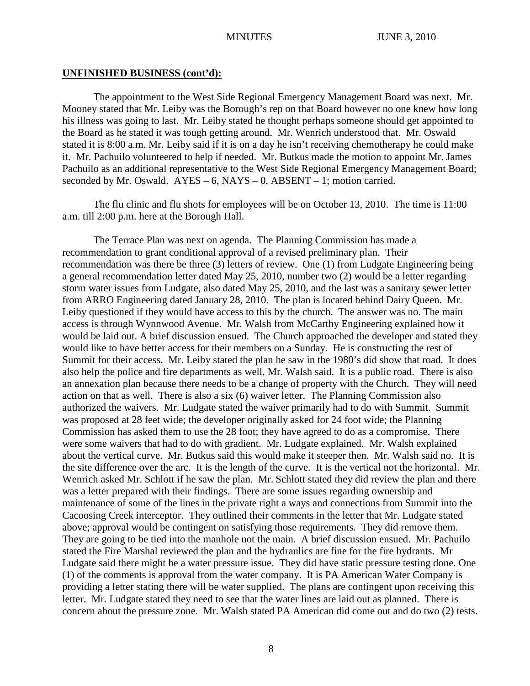#### **UNFINISHED BUSINESS (cont'd):**

The appointment to the West Side Regional Emergency Management Board was next. Mr. Mooney stated that Mr. Leiby was the Borough's rep on that Board however no one knew how long his illness was going to last. Mr. Leiby stated he thought perhaps someone should get appointed to the Board as he stated it was tough getting around. Mr. Wenrich understood that. Mr. Oswald stated it is 8:00 a.m. Mr. Leiby said if it is on a day he isn't receiving chemotherapy he could make it. Mr. Pachuilo volunteered to help if needed. Mr. Butkus made the motion to appoint Mr. James Pachuilo as an additional representative to the West Side Regional Emergency Management Board; seconded by Mr. Oswald.  $AYES - 6$ ,  $NAYS - 0$ ,  $ABSENT - 1$ ; motion carried.

The flu clinic and flu shots for employees will be on October 13, 2010. The time is 11:00 a.m. till 2:00 p.m. here at the Borough Hall.

The Terrace Plan was next on agenda. The Planning Commission has made a recommendation to grant conditional approval of a revised preliminary plan. Their recommendation was there be three (3) letters of review. One (1) from Ludgate Engineering being a general recommendation letter dated May 25, 2010, number two (2) would be a letter regarding storm water issues from Ludgate, also dated May 25, 2010, and the last was a sanitary sewer letter from ARRO Engineering dated January 28, 2010. The plan is located behind Dairy Queen. Mr. Leiby questioned if they would have access to this by the church. The answer was no. The main access is through Wynnwood Avenue. Mr. Walsh from McCarthy Engineering explained how it would be laid out. A brief discussion ensued. The Church approached the developer and stated they would like to have better access for their members on a Sunday. He is constructing the rest of Summit for their access. Mr. Leiby stated the plan he saw in the 1980's did show that road. It does also help the police and fire departments as well, Mr. Walsh said. It is a public road. There is also an annexation plan because there needs to be a change of property with the Church. They will need action on that as well. There is also a six (6) waiver letter. The Planning Commission also authorized the waivers. Mr. Ludgate stated the waiver primarily had to do with Summit. Summit was proposed at 28 feet wide; the developer originally asked for 24 foot wide; the Planning Commission has asked them to use the 28 foot; they have agreed to do as a compromise. There were some waivers that had to do with gradient. Mr. Ludgate explained. Mr. Walsh explained about the vertical curve. Mr. Butkus said this would make it steeper then. Mr. Walsh said no. It is the site difference over the arc. It is the length of the curve. It is the vertical not the horizontal. Mr. Wenrich asked Mr. Schlott if he saw the plan. Mr. Schlott stated they did review the plan and there was a letter prepared with their findings. There are some issues regarding ownership and maintenance of some of the lines in the private right a ways and connections from Summit into the Cacoosing Creek interceptor. They outlined their comments in the letter that Mr. Ludgate stated above; approval would be contingent on satisfying those requirements. They did remove them. They are going to be tied into the manhole not the main. A brief discussion ensued. Mr. Pachuilo stated the Fire Marshal reviewed the plan and the hydraulics are fine for the fire hydrants. Mr Ludgate said there might be a water pressure issue. They did have static pressure testing done. One (1) of the comments is approval from the water company. It is PA American Water Company is providing a letter stating there will be water supplied. The plans are contingent upon receiving this letter. Mr. Ludgate stated they need to see that the water lines are laid out as planned. There is concern about the pressure zone. Mr. Walsh stated PA American did come out and do two (2) tests.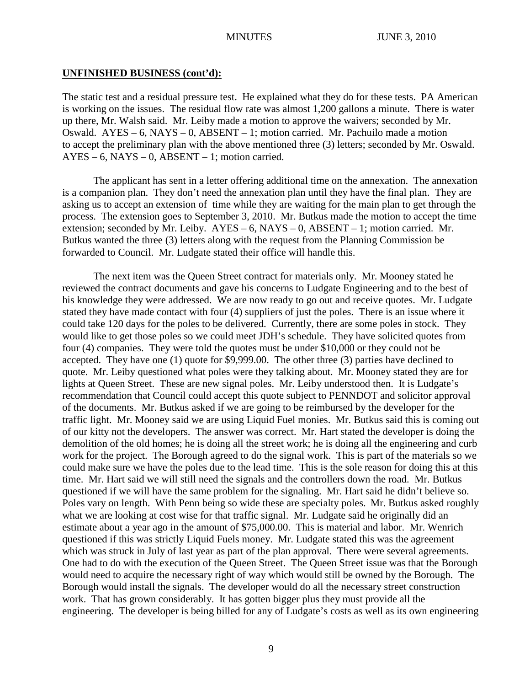## **UNFINISHED BUSINESS (cont'd):**

The static test and a residual pressure test. He explained what they do for these tests. PA American is working on the issues. The residual flow rate was almost 1,200 gallons a minute. There is water up there, Mr. Walsh said. Mr. Leiby made a motion to approve the waivers; seconded by Mr. Oswald.  $AYES - 6$ ,  $NAYS - 0$ ,  $ABSENT - 1$ ; motion carried. Mr. Pachuilo made a motion to accept the preliminary plan with the above mentioned three (3) letters; seconded by Mr. Oswald.  $AYES - 6$ ,  $NAYS - 0$ ,  $ABSENT - 1$ ; motion carried.

The applicant has sent in a letter offering additional time on the annexation. The annexation is a companion plan. They don't need the annexation plan until they have the final plan. They are asking us to accept an extension of time while they are waiting for the main plan to get through the process. The extension goes to September 3, 2010. Mr. Butkus made the motion to accept the time extension; seconded by Mr. Leiby.  $AYES - 6$ ,  $NAYS - 0$ ,  $ABSENT - 1$ ; motion carried. Mr. Butkus wanted the three (3) letters along with the request from the Planning Commission be forwarded to Council. Mr. Ludgate stated their office will handle this.

The next item was the Queen Street contract for materials only. Mr. Mooney stated he reviewed the contract documents and gave his concerns to Ludgate Engineering and to the best of his knowledge they were addressed. We are now ready to go out and receive quotes. Mr. Ludgate stated they have made contact with four (4) suppliers of just the poles. There is an issue where it could take 120 days for the poles to be delivered. Currently, there are some poles in stock. They would like to get those poles so we could meet JDH's schedule. They have solicited quotes from four (4) companies. They were told the quotes must be under \$10,000 or they could not be accepted. They have one (1) quote for \$9,999.00. The other three (3) parties have declined to quote. Mr. Leiby questioned what poles were they talking about. Mr. Mooney stated they are for lights at Queen Street. These are new signal poles. Mr. Leiby understood then. It is Ludgate's recommendation that Council could accept this quote subject to PENNDOT and solicitor approval of the documents. Mr. Butkus asked if we are going to be reimbursed by the developer for the traffic light. Mr. Mooney said we are using Liquid Fuel monies. Mr. Butkus said this is coming out of our kitty not the developers. The answer was correct. Mr. Hart stated the developer is doing the demolition of the old homes; he is doing all the street work; he is doing all the engineering and curb work for the project. The Borough agreed to do the signal work. This is part of the materials so we could make sure we have the poles due to the lead time. This is the sole reason for doing this at this time. Mr. Hart said we will still need the signals and the controllers down the road. Mr. Butkus questioned if we will have the same problem for the signaling. Mr. Hart said he didn't believe so. Poles vary on length. With Penn being so wide these are specialty poles. Mr. Butkus asked roughly what we are looking at cost wise for that traffic signal. Mr. Ludgate said he originally did an estimate about a year ago in the amount of \$75,000.00. This is material and labor. Mr. Wenrich questioned if this was strictly Liquid Fuels money. Mr. Ludgate stated this was the agreement which was struck in July of last year as part of the plan approval. There were several agreements. One had to do with the execution of the Queen Street. The Queen Street issue was that the Borough would need to acquire the necessary right of way which would still be owned by the Borough. The Borough would install the signals. The developer would do all the necessary street construction work. That has grown considerably. It has gotten bigger plus they must provide all the engineering. The developer is being billed for any of Ludgate's costs as well as its own engineering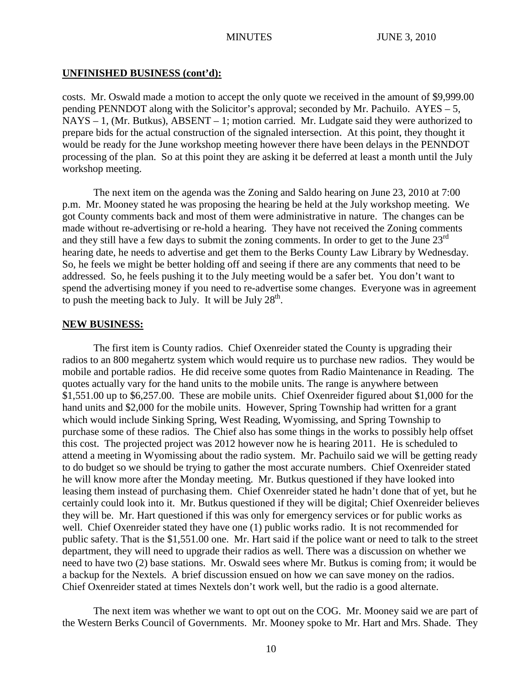#### **UNFINISHED BUSINESS (cont'd):**

costs. Mr. Oswald made a motion to accept the only quote we received in the amount of \$9,999.00 pending PENNDOT along with the Solicitor's approval; seconded by Mr. Pachuilo. AYES – 5, NAYS – 1, (Mr. Butkus), ABSENT – 1; motion carried. Mr. Ludgate said they were authorized to prepare bids for the actual construction of the signaled intersection. At this point, they thought it would be ready for the June workshop meeting however there have been delays in the PENNDOT processing of the plan. So at this point they are asking it be deferred at least a month until the July workshop meeting.

The next item on the agenda was the Zoning and Saldo hearing on June 23, 2010 at 7:00 p.m. Mr. Mooney stated he was proposing the hearing be held at the July workshop meeting. We got County comments back and most of them were administrative in nature. The changes can be made without re-advertising or re-hold a hearing. They have not received the Zoning comments and they still have a few days to submit the zoning comments. In order to get to the June  $23<sup>rd</sup>$ hearing date, he needs to advertise and get them to the Berks County Law Library by Wednesday. So, he feels we might be better holding off and seeing if there are any comments that need to be addressed. So, he feels pushing it to the July meeting would be a safer bet. You don't want to spend the advertising money if you need to re-advertise some changes. Everyone was in agreement to push the meeting back to July. It will be July  $28<sup>th</sup>$ .

#### **NEW BUSINESS:**

The first item is County radios. Chief Oxenreider stated the County is upgrading their radios to an 800 megahertz system which would require us to purchase new radios. They would be mobile and portable radios. He did receive some quotes from Radio Maintenance in Reading. The quotes actually vary for the hand units to the mobile units. The range is anywhere between \$1,551.00 up to \$6,257.00. These are mobile units. Chief Oxenreider figured about \$1,000 for the hand units and \$2,000 for the mobile units. However, Spring Township had written for a grant which would include Sinking Spring, West Reading, Wyomissing, and Spring Township to purchase some of these radios. The Chief also has some things in the works to possibly help offset this cost. The projected project was 2012 however now he is hearing 2011. He is scheduled to attend a meeting in Wyomissing about the radio system. Mr. Pachuilo said we will be getting ready to do budget so we should be trying to gather the most accurate numbers. Chief Oxenreider stated he will know more after the Monday meeting. Mr. Butkus questioned if they have looked into leasing them instead of purchasing them. Chief Oxenreider stated he hadn't done that of yet, but he certainly could look into it. Mr. Butkus questioned if they will be digital; Chief Oxenreider believes they will be. Mr. Hart questioned if this was only for emergency services or for public works as well. Chief Oxenreider stated they have one (1) public works radio. It is not recommended for public safety. That is the \$1,551.00 one. Mr. Hart said if the police want or need to talk to the street department, they will need to upgrade their radios as well. There was a discussion on whether we need to have two (2) base stations. Mr. Oswald sees where Mr. Butkus is coming from; it would be a backup for the Nextels. A brief discussion ensued on how we can save money on the radios. Chief Oxenreider stated at times Nextels don't work well, but the radio is a good alternate.

The next item was whether we want to opt out on the COG. Mr. Mooney said we are part of the Western Berks Council of Governments. Mr. Mooney spoke to Mr. Hart and Mrs. Shade. They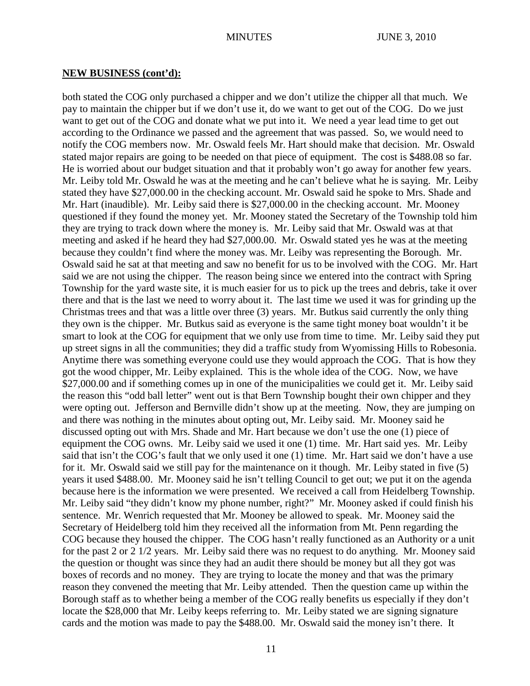#### **NEW BUSINESS (cont'd):**

both stated the COG only purchased a chipper and we don't utilize the chipper all that much. We pay to maintain the chipper but if we don't use it, do we want to get out of the COG. Do we just want to get out of the COG and donate what we put into it. We need a year lead time to get out according to the Ordinance we passed and the agreement that was passed. So, we would need to notify the COG members now. Mr. Oswald feels Mr. Hart should make that decision. Mr. Oswald stated major repairs are going to be needed on that piece of equipment. The cost is \$488.08 so far. He is worried about our budget situation and that it probably won't go away for another few years. Mr. Leiby told Mr. Oswald he was at the meeting and he can't believe what he is saying. Mr. Leiby stated they have \$27,000.00 in the checking account. Mr. Oswald said he spoke to Mrs. Shade and Mr. Hart (inaudible). Mr. Leiby said there is \$27,000.00 in the checking account. Mr. Mooney questioned if they found the money yet. Mr. Mooney stated the Secretary of the Township told him they are trying to track down where the money is. Mr. Leiby said that Mr. Oswald was at that meeting and asked if he heard they had \$27,000.00. Mr. Oswald stated yes he was at the meeting because they couldn't find where the money was. Mr. Leiby was representing the Borough. Mr. Oswald said he sat at that meeting and saw no benefit for us to be involved with the COG. Mr. Hart said we are not using the chipper. The reason being since we entered into the contract with Spring Township for the yard waste site, it is much easier for us to pick up the trees and debris, take it over there and that is the last we need to worry about it. The last time we used it was for grinding up the Christmas trees and that was a little over three (3) years. Mr. Butkus said currently the only thing they own is the chipper. Mr. Butkus said as everyone is the same tight money boat wouldn't it be smart to look at the COG for equipment that we only use from time to time. Mr. Leiby said they put up street signs in all the communities; they did a traffic study from Wyomissing Hills to Robesonia. Anytime there was something everyone could use they would approach the COG. That is how they got the wood chipper, Mr. Leiby explained. This is the whole idea of the COG. Now, we have \$27,000.00 and if something comes up in one of the municipalities we could get it. Mr. Leiby said the reason this "odd ball letter" went out is that Bern Township bought their own chipper and they were opting out. Jefferson and Bernville didn't show up at the meeting. Now, they are jumping on and there was nothing in the minutes about opting out, Mr. Leiby said. Mr. Mooney said he discussed opting out with Mrs. Shade and Mr. Hart because we don't use the one (1) piece of equipment the COG owns. Mr. Leiby said we used it one (1) time. Mr. Hart said yes. Mr. Leiby said that isn't the COG's fault that we only used it one (1) time. Mr. Hart said we don't have a use for it. Mr. Oswald said we still pay for the maintenance on it though. Mr. Leiby stated in five (5) years it used \$488.00. Mr. Mooney said he isn't telling Council to get out; we put it on the agenda because here is the information we were presented. We received a call from Heidelberg Township. Mr. Leiby said "they didn't know my phone number, right?" Mr. Mooney asked if could finish his sentence. Mr. Wenrich requested that Mr. Mooney be allowed to speak. Mr. Mooney said the Secretary of Heidelberg told him they received all the information from Mt. Penn regarding the COG because they housed the chipper. The COG hasn't really functioned as an Authority or a unit for the past 2 or 2 1/2 years. Mr. Leiby said there was no request to do anything. Mr. Mooney said the question or thought was since they had an audit there should be money but all they got was boxes of records and no money. They are trying to locate the money and that was the primary reason they convened the meeting that Mr. Leiby attended. Then the question came up within the Borough staff as to whether being a member of the COG really benefits us especially if they don't locate the \$28,000 that Mr. Leiby keeps referring to. Mr. Leiby stated we are signing signature cards and the motion was made to pay the \$488.00. Mr. Oswald said the money isn't there. It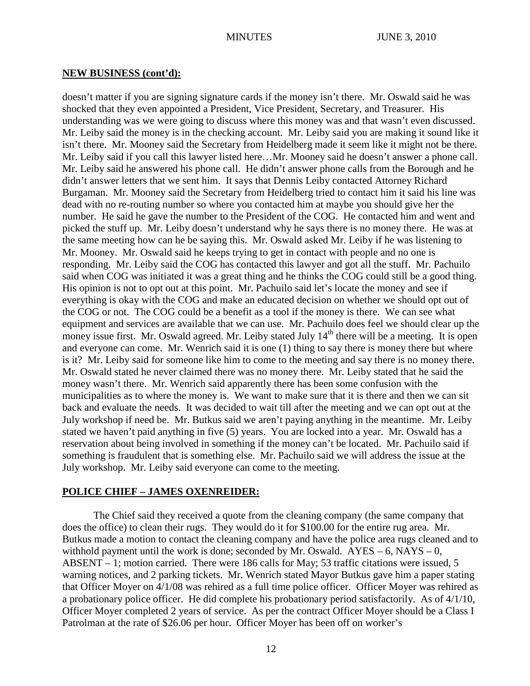#### **NEW BUSINESS (cont'd):**

doesn't matter if you are signing signature cards if the money isn't there. Mr. Oswald said he was shocked that they even appointed a President, Vice President, Secretary, and Treasurer. His understanding was we were going to discuss where this money was and that wasn't even discussed. Mr. Leiby said the money is in the checking account. Mr. Leiby said you are making it sound like it isn't there. Mr. Mooney said the Secretary from Heidelberg made it seem like it might not be there. Mr. Leiby said if you call this lawyer listed here…Mr. Mooney said he doesn't answer a phone call. Mr. Leiby said he answered his phone call. He didn't answer phone calls from the Borough and he didn't answer letters that we sent him. It says that Dennis Leiby contacted Attorney Richard Burgaman. Mr. Mooney said the Secretary from Heidelberg tried to contact him it said his line was dead with no re-routing number so where you contacted him at maybe you should give her the number. He said he gave the number to the President of the COG. He contacted him and went and picked the stuff up. Mr. Leiby doesn't understand why he says there is no money there. He was at the same meeting how can he be saying this. Mr. Oswald asked Mr. Leiby if he was listening to Mr. Mooney. Mr. Oswald said he keeps trying to get in contact with people and no one is responding. Mr. Leiby said the COG has contacted this lawyer and got all the stuff. Mr. Pachuilo said when COG was initiated it was a great thing and he thinks the COG could still be a good thing. His opinion is not to opt out at this point. Mr. Pachuilo said let's locate the money and see if everything is okay with the COG and make an educated decision on whether we should opt out of the COG or not. The COG could be a benefit as a tool if the money is there. We can see what equipment and services are available that we can use. Mr. Pachuilo does feel we should clear up the money issue first. Mr. Oswald agreed. Mr. Leiby stated July 14<sup>th</sup> there will be a meeting. It is open and everyone can come. Mr. Wenrich said it is one (1) thing to say there is money there but where is it? Mr. Leiby said for someone like him to come to the meeting and say there is no money there. Mr. Oswald stated he never claimed there was no money there. Mr. Leiby stated that he said the money wasn't there. Mr. Wenrich said apparently there has been some confusion with the municipalities as to where the money is. We want to make sure that it is there and then we can sit back and evaluate the needs. It was decided to wait till after the meeting and we can opt out at the July workshop if need be. Mr. Butkus said we aren't paying anything in the meantime. Mr. Leiby stated we haven't paid anything in five (5) years. You are locked into a year. Mr. Oswald has a reservation about being involved in something if the money can't be located. Mr. Pachuilo said if something is fraudulent that is something else. Mr. Pachuilo said we will address the issue at the July workshop. Mr. Leiby said everyone can come to the meeting.

## **POLICE CHIEF – JAMES OXENREIDER:**

The Chief said they received a quote from the cleaning company (the same company that does the office) to clean their rugs. They would do it for \$100.00 for the entire rug area. Mr. Butkus made a motion to contact the cleaning company and have the police area rugs cleaned and to withhold payment until the work is done; seconded by Mr. Oswald.  $AYES - 6$ ,  $NAYS - 0$ , ABSENT – 1; motion carried. There were 186 calls for May; 53 traffic citations were issued, 5 warning notices, and 2 parking tickets. Mr. Wenrich stated Mayor Butkus gave him a paper stating that Officer Moyer on 4/1/08 was rehired as a full time police officer. Officer Moyer was rehired as a probationary police officer. He did complete his probationary period satisfactorily. As of 4/1/10, Officer Moyer completed 2 years of service. As per the contract Officer Moyer should be a Class I Patrolman at the rate of \$26.06 per hour. Officer Moyer has been off on worker's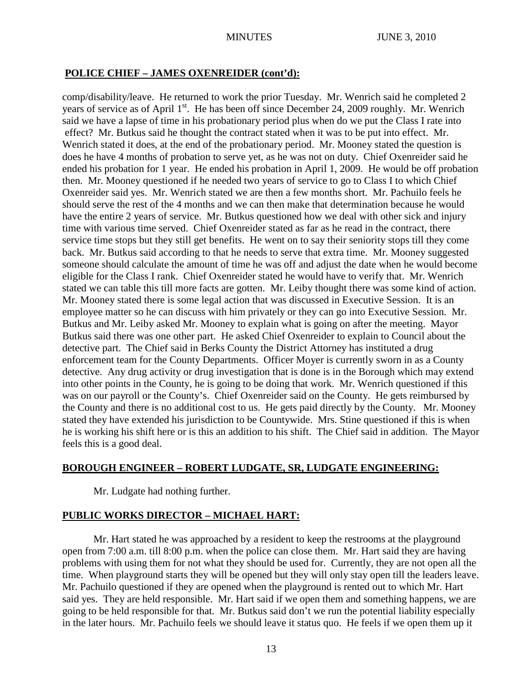#### **POLICE CHIEF – JAMES OXENREIDER (cont'd):**

comp/disability/leave. He returned to work the prior Tuesday. Mr. Wenrich said he completed 2 years of service as of April 1<sup>st</sup>. He has been off since December 24, 2009 roughly. Mr. Wenrich said we have a lapse of time in his probationary period plus when do we put the Class I rate into effect? Mr. Butkus said he thought the contract stated when it was to be put into effect. Mr. Wenrich stated it does, at the end of the probationary period. Mr. Mooney stated the question is does he have 4 months of probation to serve yet, as he was not on duty. Chief Oxenreider said he ended his probation for 1 year. He ended his probation in April 1, 2009. He would be off probation then. Mr. Mooney questioned if he needed two years of service to go to Class I to which Chief Oxenreider said yes. Mr. Wenrich stated we are then a few months short. Mr. Pachuilo feels he should serve the rest of the 4 months and we can then make that determination because he would have the entire 2 years of service. Mr. Butkus questioned how we deal with other sick and injury time with various time served. Chief Oxenreider stated as far as he read in the contract, there service time stops but they still get benefits. He went on to say their seniority stops till they come back. Mr. Butkus said according to that he needs to serve that extra time. Mr. Mooney suggested someone should calculate the amount of time he was off and adjust the date when he would become eligible for the Class I rank. Chief Oxenreider stated he would have to verify that. Mr. Wenrich stated we can table this till more facts are gotten. Mr. Leiby thought there was some kind of action. Mr. Mooney stated there is some legal action that was discussed in Executive Session. It is an employee matter so he can discuss with him privately or they can go into Executive Session. Mr. Butkus and Mr. Leiby asked Mr. Mooney to explain what is going on after the meeting. Mayor Butkus said there was one other part. He asked Chief Oxenreider to explain to Council about the detective part. The Chief said in Berks County the District Attorney has instituted a drug enforcement team for the County Departments. Officer Moyer is currently sworn in as a County detective. Any drug activity or drug investigation that is done is in the Borough which may extend into other points in the County, he is going to be doing that work. Mr. Wenrich questioned if this was on our payroll or the County's. Chief Oxenreider said on the County. He gets reimbursed by the County and there is no additional cost to us. He gets paid directly by the County. Mr. Mooney stated they have extended his jurisdiction to be Countywide. Mrs. Stine questioned if this is when he is working his shift here or is this an addition to his shift. The Chief said in addition. The Mayor feels this is a good deal.

# **BOROUGH ENGINEER – ROBERT LUDGATE, SR, LUDGATE ENGINEERING:**

Mr. Ludgate had nothing further.

## **PUBLIC WORKS DIRECTOR – MICHAEL HART:**

Mr. Hart stated he was approached by a resident to keep the restrooms at the playground open from 7:00 a.m. till 8:00 p.m. when the police can close them. Mr. Hart said they are having problems with using them for not what they should be used for. Currently, they are not open all the time. When playground starts they will be opened but they will only stay open till the leaders leave. Mr. Pachuilo questioned if they are opened when the playground is rented out to which Mr. Hart said yes. They are held responsible. Mr. Hart said if we open them and something happens, we are going to be held responsible for that. Mr. Butkus said don't we run the potential liability especially in the later hours. Mr. Pachuilo feels we should leave it status quo. He feels if we open them up it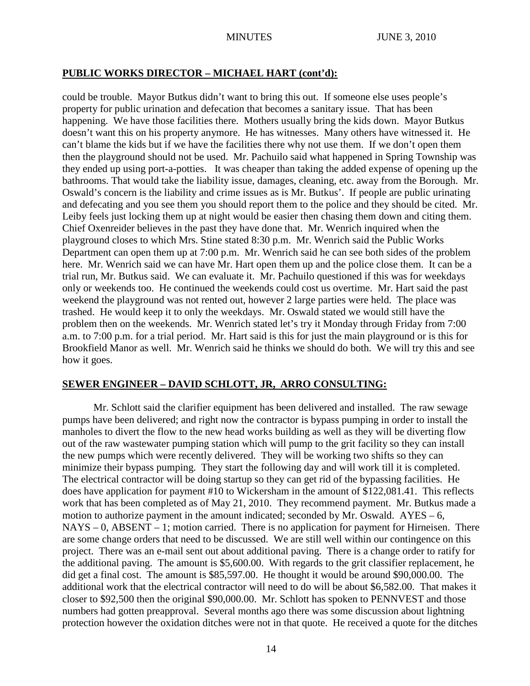# **PUBLIC WORKS DIRECTOR – MICHAEL HART (cont'd):**

could be trouble. Mayor Butkus didn't want to bring this out. If someone else uses people's property for public urination and defecation that becomes a sanitary issue. That has been happening. We have those facilities there. Mothers usually bring the kids down. Mayor Butkus doesn't want this on his property anymore. He has witnesses. Many others have witnessed it. He can't blame the kids but if we have the facilities there why not use them. If we don't open them then the playground should not be used. Mr. Pachuilo said what happened in Spring Township was they ended up using port-a-potties. It was cheaper than taking the added expense of opening up the bathrooms. That would take the liability issue, damages, cleaning, etc. away from the Borough. Mr. Oswald's concern is the liability and crime issues as is Mr. Butkus'. If people are public urinating and defecating and you see them you should report them to the police and they should be cited. Mr. Leiby feels just locking them up at night would be easier then chasing them down and citing them. Chief Oxenreider believes in the past they have done that. Mr. Wenrich inquired when the playground closes to which Mrs. Stine stated 8:30 p.m. Mr. Wenrich said the Public Works Department can open them up at 7:00 p.m. Mr. Wenrich said he can see both sides of the problem here. Mr. Wenrich said we can have Mr. Hart open them up and the police close them. It can be a trial run, Mr. Butkus said. We can evaluate it. Mr. Pachuilo questioned if this was for weekdays only or weekends too. He continued the weekends could cost us overtime. Mr. Hart said the past weekend the playground was not rented out, however 2 large parties were held. The place was trashed. He would keep it to only the weekdays. Mr. Oswald stated we would still have the problem then on the weekends. Mr. Wenrich stated let's try it Monday through Friday from 7:00 a.m. to 7:00 p.m. for a trial period. Mr. Hart said is this for just the main playground or is this for Brookfield Manor as well. Mr. Wenrich said he thinks we should do both. We will try this and see how it goes.

# **SEWER ENGINEER – DAVID SCHLOTT, JR, ARRO CONSULTING:**

Mr. Schlott said the clarifier equipment has been delivered and installed. The raw sewage pumps have been delivered; and right now the contractor is bypass pumping in order to install the manholes to divert the flow to the new head works building as well as they will be diverting flow out of the raw wastewater pumping station which will pump to the grit facility so they can install the new pumps which were recently delivered. They will be working two shifts so they can minimize their bypass pumping. They start the following day and will work till it is completed. The electrical contractor will be doing startup so they can get rid of the bypassing facilities. He does have application for payment #10 to Wickersham in the amount of \$122,081.41. This reflects work that has been completed as of May 21, 2010. They recommend payment. Mr. Butkus made a motion to authorize payment in the amount indicated; seconded by Mr. Oswald.  $AYES - 6$ , NAYS – 0, ABSENT – 1; motion carried. There is no application for payment for Hirneisen. There are some change orders that need to be discussed. We are still well within our contingence on this project. There was an e-mail sent out about additional paving. There is a change order to ratify for the additional paving. The amount is \$5,600.00. With regards to the grit classifier replacement, he did get a final cost. The amount is \$85,597.00. He thought it would be around \$90,000.00. The additional work that the electrical contractor will need to do will be about \$6,582.00. That makes it closer to \$92,500 then the original \$90,000.00. Mr. Schlott has spoken to PENNVEST and those numbers had gotten preapproval. Several months ago there was some discussion about lightning protection however the oxidation ditches were not in that quote. He received a quote for the ditches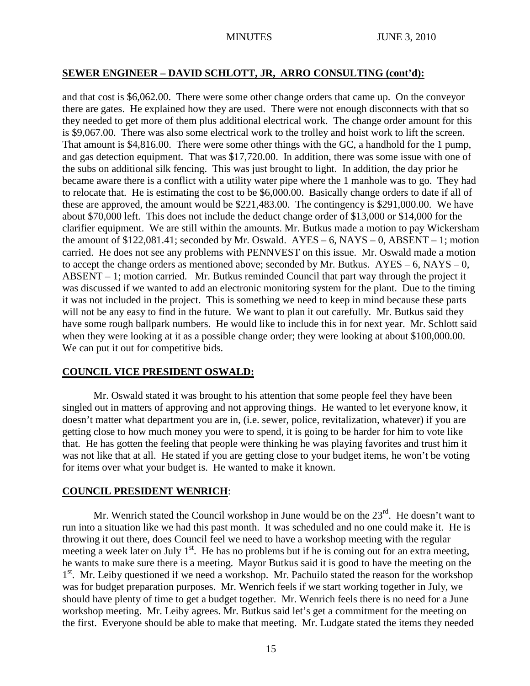## **SEWER ENGINEER – DAVID SCHLOTT, JR, ARRO CONSULTING (cont'd):**

and that cost is \$6,062.00. There were some other change orders that came up. On the conveyor there are gates. He explained how they are used. There were not enough disconnects with that so they needed to get more of them plus additional electrical work. The change order amount for this is \$9,067.00. There was also some electrical work to the trolley and hoist work to lift the screen. That amount is \$4,816.00. There were some other things with the GC, a handhold for the 1 pump, and gas detection equipment. That was \$17,720.00. In addition, there was some issue with one of the subs on additional silk fencing. This was just brought to light. In addition, the day prior he became aware there is a conflict with a utility water pipe where the 1 manhole was to go. They had to relocate that. He is estimating the cost to be \$6,000.00. Basically change orders to date if all of these are approved, the amount would be \$221,483.00. The contingency is \$291,000.00. We have about \$70,000 left. This does not include the deduct change order of \$13,000 or \$14,000 for the clarifier equipment. We are still within the amounts. Mr. Butkus made a motion to pay Wickersham the amount of  $$122,081.41$ ; seconded by Mr. Oswald.  $AYES - 6$ , NAYS  $- 0$ , ABSENT  $- 1$ ; motion carried. He does not see any problems with PENNVEST on this issue. Mr. Oswald made a motion to accept the change orders as mentioned above; seconded by Mr. Butkus.  $AYES - 6$ ,  $NAYS - 0$ , ABSENT – 1; motion carried. Mr. Butkus reminded Council that part way through the project it was discussed if we wanted to add an electronic monitoring system for the plant. Due to the timing it was not included in the project. This is something we need to keep in mind because these parts will not be any easy to find in the future. We want to plan it out carefully. Mr. Butkus said they have some rough ballpark numbers. He would like to include this in for next year. Mr. Schlott said when they were looking at it as a possible change order; they were looking at about \$100,000.00. We can put it out for competitive bids.

## **COUNCIL VICE PRESIDENT OSWALD:**

Mr. Oswald stated it was brought to his attention that some people feel they have been singled out in matters of approving and not approving things. He wanted to let everyone know, it doesn't matter what department you are in, (i.e. sewer, police, revitalization, whatever) if you are getting close to how much money you were to spend, it is going to be harder for him to vote like that. He has gotten the feeling that people were thinking he was playing favorites and trust him it was not like that at all. He stated if you are getting close to your budget items, he won't be voting for items over what your budget is. He wanted to make it known.

## **COUNCIL PRESIDENT WENRICH**:

Mr. Wenrich stated the Council workshop in June would be on the  $23<sup>rd</sup>$ . He doesn't want to run into a situation like we had this past month. It was scheduled and no one could make it. He is throwing it out there, does Council feel we need to have a workshop meeting with the regular meeting a week later on July  $1<sup>st</sup>$ . He has no problems but if he is coming out for an extra meeting, he wants to make sure there is a meeting. Mayor Butkus said it is good to have the meeting on the 1<sup>st</sup>. Mr. Leiby questioned if we need a workshop. Mr. Pachuilo stated the reason for the workshop was for budget preparation purposes. Mr. Wenrich feels if we start working together in July, we should have plenty of time to get a budget together. Mr. Wenrich feels there is no need for a June workshop meeting. Mr. Leiby agrees. Mr. Butkus said let's get a commitment for the meeting on the first. Everyone should be able to make that meeting. Mr. Ludgate stated the items they needed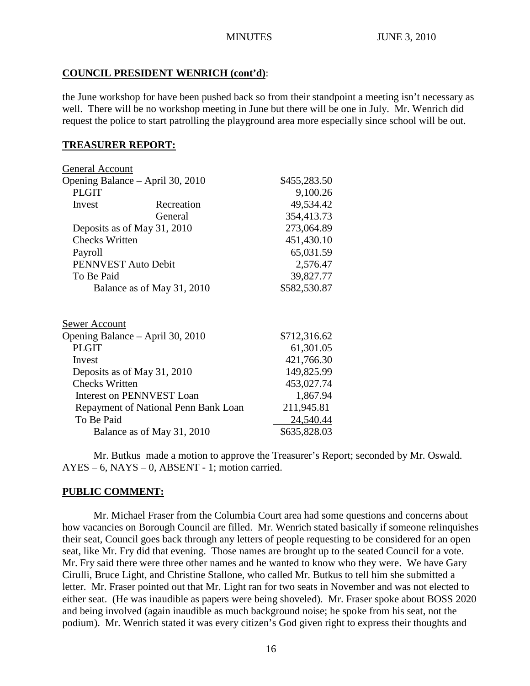# **COUNCIL PRESIDENT WENRICH (cont'd)**:

the June workshop for have been pushed back so from their standpoint a meeting isn't necessary as well. There will be no workshop meeting in June but there will be one in July. Mr. Wenrich did request the police to start patrolling the playground area more especially since school will be out.

# **TREASURER REPORT:**

|            | \$455,283.50                                                                                                                                                                                                                                                                                                                                                                  |
|------------|-------------------------------------------------------------------------------------------------------------------------------------------------------------------------------------------------------------------------------------------------------------------------------------------------------------------------------------------------------------------------------|
|            | 9,100.26                                                                                                                                                                                                                                                                                                                                                                      |
| Recreation | 49,534.42                                                                                                                                                                                                                                                                                                                                                                     |
| General    | 354,413.73                                                                                                                                                                                                                                                                                                                                                                    |
|            | 273,064.89                                                                                                                                                                                                                                                                                                                                                                    |
|            | 451,430.10                                                                                                                                                                                                                                                                                                                                                                    |
|            | 65,031.59                                                                                                                                                                                                                                                                                                                                                                     |
|            | 2,576.47                                                                                                                                                                                                                                                                                                                                                                      |
|            | 39,827.77                                                                                                                                                                                                                                                                                                                                                                     |
|            | \$582,530.87                                                                                                                                                                                                                                                                                                                                                                  |
|            |                                                                                                                                                                                                                                                                                                                                                                               |
|            | \$712,316.62                                                                                                                                                                                                                                                                                                                                                                  |
|            | 61,301.05                                                                                                                                                                                                                                                                                                                                                                     |
|            | 421,766.30                                                                                                                                                                                                                                                                                                                                                                    |
|            | 149,825.99                                                                                                                                                                                                                                                                                                                                                                    |
|            | 453,027.74                                                                                                                                                                                                                                                                                                                                                                    |
|            | 1,867.94                                                                                                                                                                                                                                                                                                                                                                      |
|            | 211,945.81                                                                                                                                                                                                                                                                                                                                                                    |
|            | 24,540.44                                                                                                                                                                                                                                                                                                                                                                     |
|            | \$635,828.03                                                                                                                                                                                                                                                                                                                                                                  |
|            | <b>General Account</b><br>Opening Balance – April 30, 2010<br>Deposits as of May 31, 2010<br><b>Checks Written</b><br>PENNVEST Auto Debit<br>Balance as of May 31, 2010<br>Opening Balance – April 30, 2010<br>Deposits as of May 31, 2010<br><b>Checks Written</b><br><b>Interest on PENNVEST Loan</b><br>Repayment of National Penn Bank Loan<br>Balance as of May 31, 2010 |

Mr. Butkus made a motion to approve the Treasurer's Report; seconded by Mr. Oswald.  $AYES - 6$ ,  $NAYS - 0$ ,  $ABSENT - 1$ ; motion carried.

# **PUBLIC COMMENT:**

Mr. Michael Fraser from the Columbia Court area had some questions and concerns about how vacancies on Borough Council are filled. Mr. Wenrich stated basically if someone relinquishes their seat, Council goes back through any letters of people requesting to be considered for an open seat, like Mr. Fry did that evening. Those names are brought up to the seated Council for a vote. Mr. Fry said there were three other names and he wanted to know who they were. We have Gary Cirulli, Bruce Light, and Christine Stallone, who called Mr. Butkus to tell him she submitted a letter. Mr. Fraser pointed out that Mr. Light ran for two seats in November and was not elected to either seat. (He was inaudible as papers were being shoveled). Mr. Fraser spoke about BOSS 2020 and being involved (again inaudible as much background noise; he spoke from his seat, not the podium). Mr. Wenrich stated it was every citizen's God given right to express their thoughts and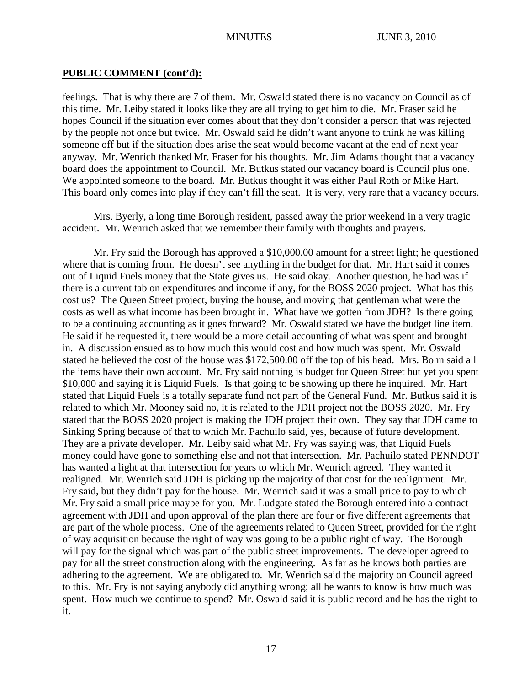## **PUBLIC COMMENT (cont'd):**

feelings. That is why there are 7 of them. Mr. Oswald stated there is no vacancy on Council as of this time. Mr. Leiby stated it looks like they are all trying to get him to die. Mr. Fraser said he hopes Council if the situation ever comes about that they don't consider a person that was rejected by the people not once but twice. Mr. Oswald said he didn't want anyone to think he was killing someone off but if the situation does arise the seat would become vacant at the end of next year anyway. Mr. Wenrich thanked Mr. Fraser for his thoughts. Mr. Jim Adams thought that a vacancy board does the appointment to Council. Mr. Butkus stated our vacancy board is Council plus one. We appointed someone to the board. Mr. Butkus thought it was either Paul Roth or Mike Hart. This board only comes into play if they can't fill the seat. It is very, very rare that a vacancy occurs.

Mrs. Byerly, a long time Borough resident, passed away the prior weekend in a very tragic accident. Mr. Wenrich asked that we remember their family with thoughts and prayers.

Mr. Fry said the Borough has approved a \$10,000.00 amount for a street light; he questioned where that is coming from. He doesn't see anything in the budget for that. Mr. Hart said it comes out of Liquid Fuels money that the State gives us. He said okay. Another question, he had was if there is a current tab on expenditures and income if any, for the BOSS 2020 project. What has this cost us? The Queen Street project, buying the house, and moving that gentleman what were the costs as well as what income has been brought in. What have we gotten from JDH? Is there going to be a continuing accounting as it goes forward? Mr. Oswald stated we have the budget line item. He said if he requested it, there would be a more detail accounting of what was spent and brought in. A discussion ensued as to how much this would cost and how much was spent. Mr. Oswald stated he believed the cost of the house was \$172,500.00 off the top of his head. Mrs. Bohn said all the items have their own account. Mr. Fry said nothing is budget for Queen Street but yet you spent \$10,000 and saying it is Liquid Fuels. Is that going to be showing up there he inquired. Mr. Hart stated that Liquid Fuels is a totally separate fund not part of the General Fund. Mr. Butkus said it is related to which Mr. Mooney said no, it is related to the JDH project not the BOSS 2020. Mr. Fry stated that the BOSS 2020 project is making the JDH project their own. They say that JDH came to Sinking Spring because of that to which Mr. Pachuilo said, yes, because of future development. They are a private developer. Mr. Leiby said what Mr. Fry was saying was, that Liquid Fuels money could have gone to something else and not that intersection. Mr. Pachuilo stated PENNDOT has wanted a light at that intersection for years to which Mr. Wenrich agreed. They wanted it realigned. Mr. Wenrich said JDH is picking up the majority of that cost for the realignment. Mr. Fry said, but they didn't pay for the house. Mr. Wenrich said it was a small price to pay to which Mr. Fry said a small price maybe for you. Mr. Ludgate stated the Borough entered into a contract agreement with JDH and upon approval of the plan there are four or five different agreements that are part of the whole process. One of the agreements related to Queen Street, provided for the right of way acquisition because the right of way was going to be a public right of way. The Borough will pay for the signal which was part of the public street improvements. The developer agreed to pay for all the street construction along with the engineering. As far as he knows both parties are adhering to the agreement. We are obligated to. Mr. Wenrich said the majority on Council agreed to this. Mr. Fry is not saying anybody did anything wrong; all he wants to know is how much was spent. How much we continue to spend? Mr. Oswald said it is public record and he has the right to it.